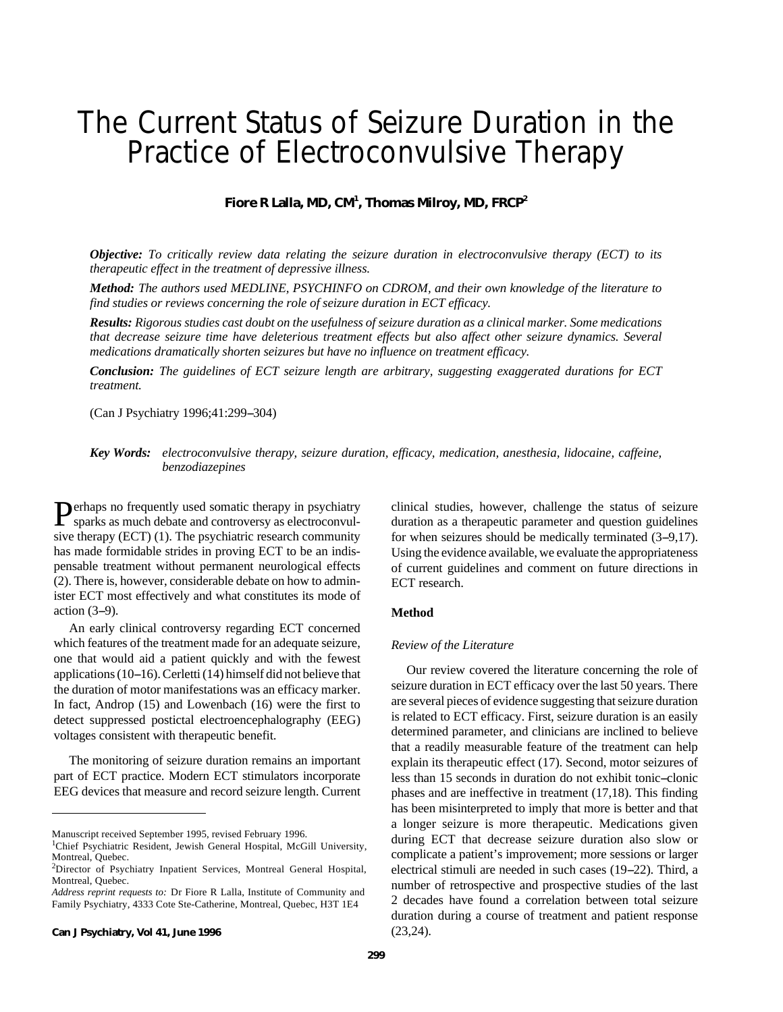# The Current Status of Seizure Duration in the Practice of Electroconvulsive Therapy

**Fiore R Lalla, MD, CM<sup>1</sup> , Thomas Milroy, MD, FRCP<sup>2</sup>**

*Objective: To critically review data relating the seizure duration in electroconvulsive therapy (ECT) to its therapeutic effect in the treatment of depressive illness.*

*Method: The authors used MEDLINE, PSYCHINFO on CDROM, and their own knowledge of the literature to find studies or reviews concerning the role of seizure duration in ECT efficacy.*

*Results: Rigorous studies cast doubt on the usefulness of seizure duration as a clinical marker. Some medications that decrease seizure time have deleterious treatment effects but also affect other seizure dynamics. Several medications dramatically shorten seizures but have no influence on treatment efficacy.*

*Conclusion: The guidelines of ECT seizure length are arbitrary, suggesting exaggerated durations for ECT treatment.*

(Can J Psychiatry 1996;41:299-304)

*Key Words: electroconvulsive therapy, seizure duration, efficacy, medication, anesthesia, lidocaine, caffeine, benzodiazepines*

Perhaps no frequently used somatic therapy in psychiatry<br>sparks as much debate and controversy as electroconvulsparks as much debate and controversy as electroconvulsive therapy (ECT) (1). The psychiatric research community has made formidable strides in proving ECT to be an indispensable treatment without permanent neurological effects (2). There is, however, considerable debate on how to administer ECT most effectively and what constitutes its mode of action  $(3-9)$ .

An early clinical controversy regarding ECT concerned which features of the treatment made for an adequate seizure, one that would aid a patient quickly and with the fewest applications (10-16). Cerletti (14) himself did not believe that the duration of motor manifestations was an efficacy marker. In fact, Androp (15) and Lowenbach (16) were the first to detect suppressed postictal electroencephalography (EEG) voltages consistent with therapeutic benefit.

The monitoring of seizure duration remains an important part of ECT practice. Modern ECT stimulators incorporate EEG devices that measure and record seizure length. Current

Manuscript received September 1995, revised February 1996.

**Can J Psychiatry, Vol 41, June 1996**

clinical studies, however, challenge the status of seizure duration as a therapeutic parameter and question guidelines for when seizures should be medically terminated  $(3-9,17)$ . Using the evidence available, we evaluate the appropriateness of current guidelines and comment on future directions in ECT research.

# **Method**

### *Review of the Literature*

Our review covered the literature concerning the role of seizure duration in ECT efficacy over the last 50 years. There are several pieces of evidence suggesting that seizure duration is related to ECT efficacy. First, seizure duration is an easily determined parameter, and clinicians are inclined to believe that a readily measurable feature of the treatment can help explain its therapeutic effect (17). Second, motor seizures of less than 15 seconds in duration do not exhibit tonic--clonic phases and are ineffective in treatment (17,18). This finding has been misinterpreted to imply that more is better and that a longer seizure is more therapeutic. Medications given during ECT that decrease seizure duration also slow or complicate a patient's improvement; more sessions or larger electrical stimuli are needed in such cases (19–22). Third, a number of retrospective and prospective studies of the last 2 decades have found a correlation between total seizure duration during a course of treatment and patient response (23,24).

<sup>&</sup>lt;sup>1</sup>Chief Psychiatric Resident, Jewish General Hospital, McGill University, Montreal, Quebec.

<sup>2</sup>Director of Psychiatry Inpatient Services, Montreal General Hospital, Montreal, Quebec.

*Address reprint requests to:* Dr Fiore R Lalla, Institute of Community and Family Psychiatry, 4333 Cote Ste-Catherine, Montreal, Quebec, H3T 1E4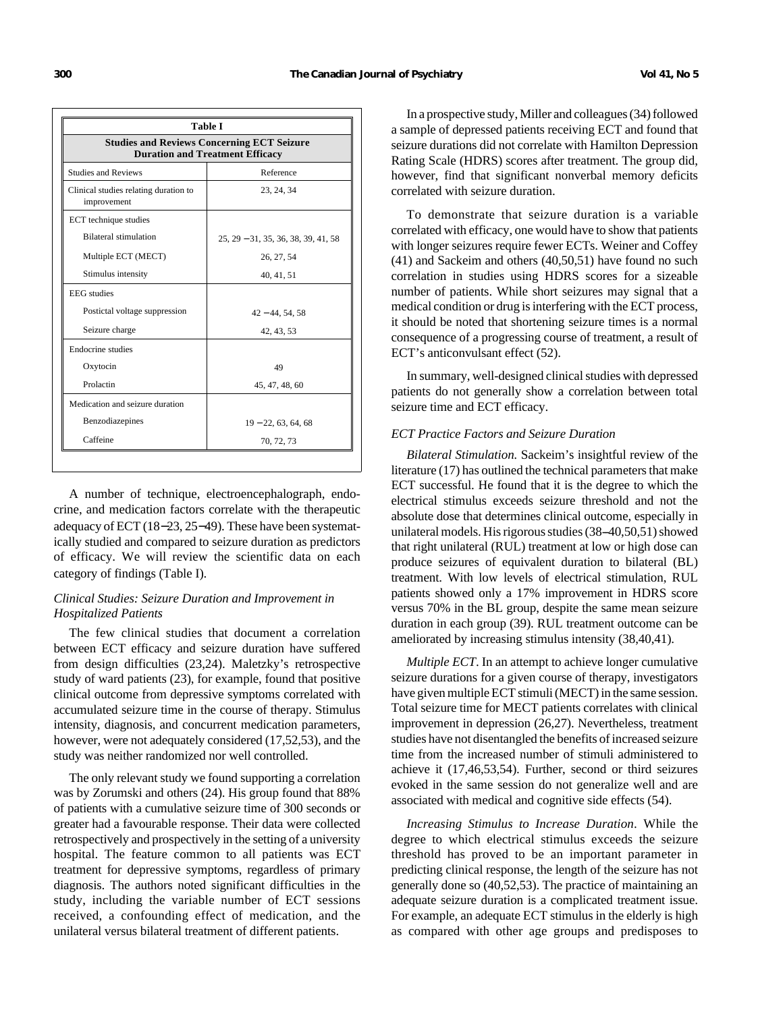| <b>Table I</b><br><b>Studies and Reviews Concerning ECT Seizure</b><br><b>Duration and Treatment Efficacy</b> |                                       |
|---------------------------------------------------------------------------------------------------------------|---------------------------------------|
|                                                                                                               |                                       |
| Clinical studies relating duration to<br>improvement                                                          | 23, 24, 34                            |
| ECT technique studies                                                                                         |                                       |
| <b>Bilateral stimulation</b>                                                                                  | $25, 29 - 31, 35, 36, 38, 39, 41, 58$ |
| Multiple ECT (MECT)                                                                                           | 26, 27, 54                            |
| Stimulus intensity                                                                                            | 40, 41, 51                            |
| <b>EEG</b> studies                                                                                            |                                       |
| Postictal voltage suppression                                                                                 | $42 - 44, 54, 58$                     |
| Seizure charge                                                                                                | 42, 43, 53                            |
| Endocrine studies                                                                                             |                                       |
| Oxytocin                                                                                                      | 49                                    |
| Prolactin                                                                                                     | 45, 47, 48, 60                        |
| Medication and seizure duration                                                                               |                                       |
| Benzodiazepines                                                                                               | $19 - 22, 63, 64, 68$                 |
| Caffeine                                                                                                      | 70, 72, 73                            |

A number of technique, electroencephalograph, endocrine, and medication factors correlate with the therapeutic adequacy of ECT (18−23, 25−49). These have been systematically studied and compared to seizure duration as predictors of efficacy. We will review the scientific data on each category of findings (Table I).

# *Clinical Studies: Seizure Duration and Improvement in Hospitalized Patients*

The few clinical studies that document a correlation between ECT efficacy and seizure duration have suffered from design difficulties (23,24). Maletzky's retrospective study of ward patients (23), for example, found that positive clinical outcome from depressive symptoms correlated with accumulated seizure time in the course of therapy. Stimulus intensity, diagnosis, and concurrent medication parameters, however, were not adequately considered (17,52,53), and the study was neither randomized nor well controlled.

The only relevant study we found supporting a correlation was by Zorumski and others (24). His group found that 88% of patients with a cumulative seizure time of 300 seconds or greater had a favourable response. Their data were collected retrospectively and prospectively in the setting of a university hospital. The feature common to all patients was ECT treatment for depressive symptoms, regardless of primary diagnosis. The authors noted significant difficulties in the study, including the variable number of ECT sessions received, a confounding effect of medication, and the unilateral versus bilateral treatment of different patients.

In a prospective study, Miller and colleagues (34) followed a sample of depressed patients receiving ECT and found that seizure durations did not correlate with Hamilton Depression Rating Scale (HDRS) scores after treatment. The group did, however, find that significant nonverbal memory deficits correlated with seizure duration.

To demonstrate that seizure duration is a variable correlated with efficacy, one would have to show that patients with longer seizures require fewer ECTs. Weiner and Coffey (41) and Sackeim and others (40,50,51) have found no such correlation in studies using HDRS scores for a sizeable number of patients. While short seizures may signal that a medical condition or drug is interfering with the ECT process, it should be noted that shortening seizure times is a normal consequence of a progressing course of treatment, a result of ECT's anticonvulsant effect (52).

In summary, well-designed clinical studies with depressed patients do not generally show a correlation between total seizure time and ECT efficacy.

## *ECT Practice Factors and Seizure Duration*

*Bilateral Stimulation.* Sackeim's insightful review of the literature (17) has outlined the technical parameters that make ECT successful. He found that it is the degree to which the electrical stimulus exceeds seizure threshold and not the absolute dose that determines clinical outcome, especially in unilateral models. His rigorous studies  $(38-40,50,51)$  showed that right unilateral (RUL) treatment at low or high dose can produce seizures of equivalent duration to bilateral (BL) treatment. With low levels of electrical stimulation, RUL patients showed only a 17% improvement in HDRS score versus 70% in the BL group, despite the same mean seizure duration in each group (39). RUL treatment outcome can be ameliorated by increasing stimulus intensity (38,40,41).

*Multiple ECT*. In an attempt to achieve longer cumulative seizure durations for a given course of therapy, investigators have given multiple ECT stimuli (MECT) in the same session. Total seizure time for MECT patients correlates with clinical improvement in depression (26,27). Nevertheless, treatment studies have not disentangled the benefits of increased seizure time from the increased number of stimuli administered to achieve it (17,46,53,54). Further, second or third seizures evoked in the same session do not generalize well and are associated with medical and cognitive side effects (54).

*Increasing Stimulus to Increase Duration*. While the degree to which electrical stimulus exceeds the seizure threshold has proved to be an important parameter in predicting clinical response, the length of the seizure has not generally done so (40,52,53). The practice of maintaining an adequate seizure duration is a complicated treatment issue. For example, an adequate ECT stimulus in the elderly is high as compared with other age groups and predisposes to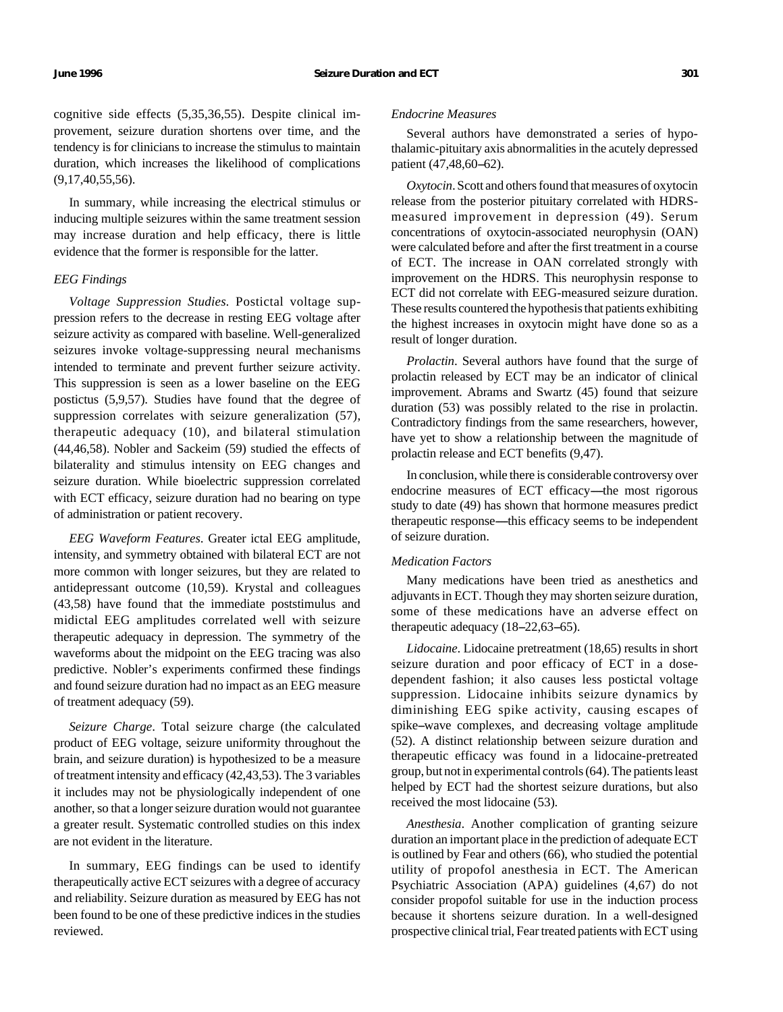cognitive side effects (5,35,36,55). Despite clinical improvement, seizure duration shortens over time, and the tendency is for clinicians to increase the stimulus to maintain duration, which increases the likelihood of complications (9,17,40,55,56).

In summary, while increasing the electrical stimulus or inducing multiple seizures within the same treatment session may increase duration and help efficacy, there is little evidence that the former is responsible for the latter.

# *EEG Findings*

*Voltage Suppression Studies.* Postictal voltage suppression refers to the decrease in resting EEG voltage after seizure activity as compared with baseline. Well-generalized seizures invoke voltage-suppressing neural mechanisms intended to terminate and prevent further seizure activity. This suppression is seen as a lower baseline on the EEG postictus (5,9,57). Studies have found that the degree of suppression correlates with seizure generalization (57), therapeutic adequacy (10), and bilateral stimulation (44,46,58). Nobler and Sackeim (59) studied the effects of bilaterality and stimulus intensity on EEG changes and seizure duration. While bioelectric suppression correlated with ECT efficacy, seizure duration had no bearing on type of administration or patient recovery.

*EEG Waveform Features*. Greater ictal EEG amplitude, intensity, and symmetry obtained with bilateral ECT are not more common with longer seizures, but they are related to antidepressant outcome (10,59). Krystal and colleagues (43,58) have found that the immediate poststimulus and midictal EEG amplitudes correlated well with seizure therapeutic adequacy in depression. The symmetry of the waveforms about the midpoint on the EEG tracing was also predictive. Nobler's experiments confirmed these findings and found seizure duration had no impact as an EEG measure of treatment adequacy (59).

*Seizure Charge*. Total seizure charge (the calculated product of EEG voltage, seizure uniformity throughout the brain, and seizure duration) is hypothesized to be a measure of treatment intensity and efficacy (42,43,53). The 3 variables it includes may not be physiologically independent of one another, so that a longer seizure duration would not guarantee a greater result. Systematic controlled studies on this index are not evident in the literature.

In summary, EEG findings can be used to identify therapeutically active ECT seizures with a degree of accuracy and reliability. Seizure duration as measured by EEG has not been found to be one of these predictive indices in the studies reviewed.

#### *Endocrine Measures*

Several authors have demonstrated a series of hypothalamic-pituitary axis abnormalities in the acutely depressed patient  $(47, 48, 60 - 62)$ .

*Oxytocin*. Scott and others found that measures of oxytocin release from the posterior pituitary correlated with HDRSmeasured improvement in depression (49). Serum concentrations of oxytocin-associated neurophysin (OAN) were calculated before and after the first treatment in a course of ECT. The increase in OAN correlated strongly with improvement on the HDRS. This neurophysin response to ECT did not correlate with EEG-measured seizure duration. These results countered the hypothesis that patients exhibiting the highest increases in oxytocin might have done so as a result of longer duration.

*Prolactin*. Several authors have found that the surge of prolactin released by ECT may be an indicator of clinical improvement. Abrams and Swartz (45) found that seizure duration (53) was possibly related to the rise in prolactin. Contradictory findings from the same researchers, however, have yet to show a relationship between the magnitude of prolactin release and ECT benefits (9,47).

In conclusion, while there is considerable controversy over endocrine measures of ECT efficacy----the most rigorous study to date (49) has shown that hormone measures predict therapeutic response—this efficacy seems to be independent of seizure duration.

# *Medication Factors*

Many medications have been tried as anesthetics and adjuvants in ECT. Though they may shorten seizure duration, some of these medications have an adverse effect on therapeutic adequacy  $(18-22,63-65)$ .

*Lidocaine*. Lidocaine pretreatment (18,65) results in short seizure duration and poor efficacy of ECT in a dosedependent fashion; it also causes less postictal voltage suppression. Lidocaine inhibits seizure dynamics by diminishing EEG spike activity, causing escapes of spike--wave complexes, and decreasing voltage amplitude (52). A distinct relationship between seizure duration and therapeutic efficacy was found in a lidocaine-pretreated group, but not in experimental controls (64). The patients least helped by ECT had the shortest seizure durations, but also received the most lidocaine (53).

*Anesthesia*. Another complication of granting seizure duration an important place in the prediction of adequate ECT is outlined by Fear and others (66), who studied the potential utility of propofol anesthesia in ECT. The American Psychiatric Association (APA) guidelines (4,67) do not consider propofol suitable for use in the induction process because it shortens seizure duration. In a well-designed prospective clinical trial, Fear treated patients with ECT using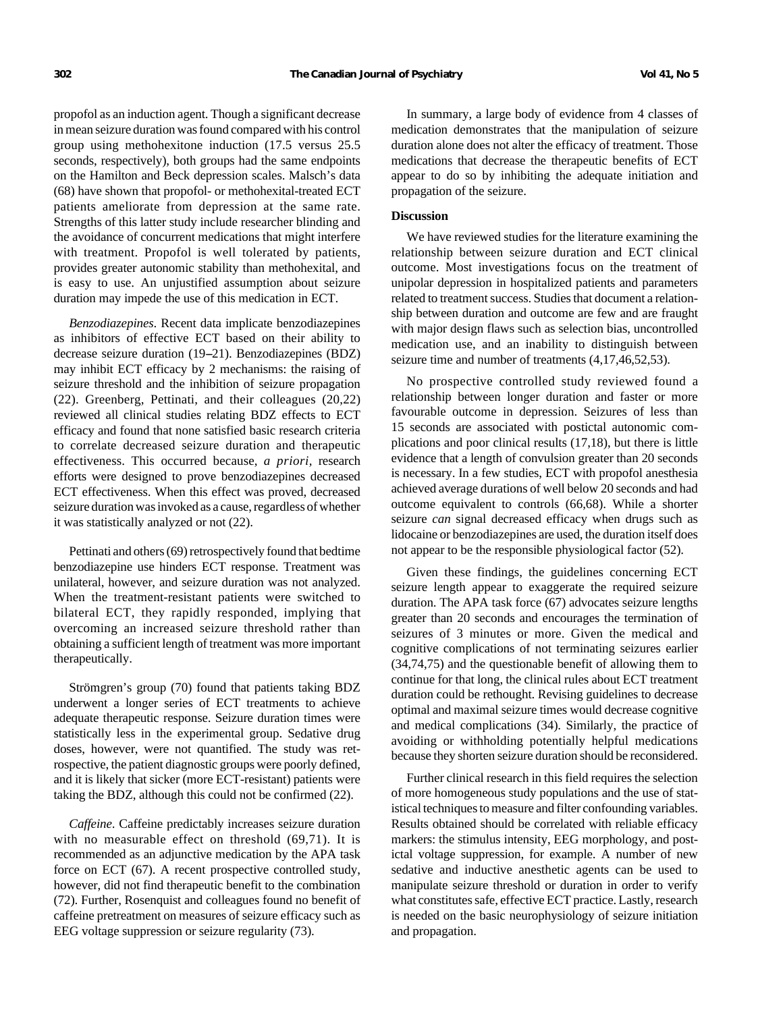propofol as an induction agent. Though a significant decrease in mean seizure duration was found compared with his control group using methohexitone induction (17.5 versus 25.5 seconds, respectively), both groups had the same endpoints on the Hamilton and Beck depression scales. Malsch's data (68) have shown that propofol- or methohexital-treated ECT patients ameliorate from depression at the same rate. Strengths of this latter study include researcher blinding and the avoidance of concurrent medications that might interfere with treatment. Propofol is well tolerated by patients, provides greater autonomic stability than methohexital, and is easy to use. An unjustified assumption about seizure duration may impede the use of this medication in ECT.

*Benzodiazepines*. Recent data implicate benzodiazepines as inhibitors of effective ECT based on their ability to decrease seizure duration (19–21). Benzodiazepines (BDZ) may inhibit ECT efficacy by 2 mechanisms: the raising of seizure threshold and the inhibition of seizure propagation (22). Greenberg, Pettinati, and their colleagues (20,22) reviewed all clinical studies relating BDZ effects to ECT efficacy and found that none satisfied basic research criteria to correlate decreased seizure duration and therapeutic effectiveness. This occurred because, *a priori,* research efforts were designed to prove benzodiazepines decreased ECT effectiveness. When this effect was proved, decreased seizure duration was invoked as a cause, regardless of whether it was statistically analyzed or not (22).

Pettinati and others (69) retrospectively found that bedtime benzodiazepine use hinders ECT response. Treatment was unilateral, however, and seizure duration was not analyzed. When the treatment-resistant patients were switched to bilateral ECT, they rapidly responded, implying that overcoming an increased seizure threshold rather than obtaining a sufficient length of treatment was more important therapeutically.

Strömgren's group (70) found that patients taking BDZ underwent a longer series of ECT treatments to achieve adequate therapeutic response. Seizure duration times were statistically less in the experimental group. Sedative drug doses, however, were not quantified. The study was retrospective, the patient diagnostic groups were poorly defined, and it is likely that sicker (more ECT-resistant) patients were taking the BDZ, although this could not be confirmed (22).

*Caffeine*. Caffeine predictably increases seizure duration with no measurable effect on threshold (69,71). It is recommended as an adjunctive medication by the APA task force on ECT (67). A recent prospective controlled study, however, did not find therapeutic benefit to the combination (72). Further, Rosenquist and colleagues found no benefit of caffeine pretreatment on measures of seizure efficacy such as EEG voltage suppression or seizure regularity (73).

In summary, a large body of evidence from 4 classes of medication demonstrates that the manipulation of seizure duration alone does not alter the efficacy of treatment. Those medications that decrease the therapeutic benefits of ECT appear to do so by inhibiting the adequate initiation and propagation of the seizure.

#### **Discussion**

We have reviewed studies for the literature examining the relationship between seizure duration and ECT clinical outcome. Most investigations focus on the treatment of unipolar depression in hospitalized patients and parameters related to treatment success. Studies that document a relationship between duration and outcome are few and are fraught with major design flaws such as selection bias, uncontrolled medication use, and an inability to distinguish between seizure time and number of treatments  $(4,17,46,52,53)$ .

No prospective controlled study reviewed found a relationship between longer duration and faster or more favourable outcome in depression. Seizures of less than 15 seconds are associated with postictal autonomic complications and poor clinical results (17,18), but there is little evidence that a length of convulsion greater than 20 seconds is necessary. In a few studies, ECT with propofol anesthesia achieved average durations of well below 20 seconds and had outcome equivalent to controls (66,68). While a shorter seizure *can* signal decreased efficacy when drugs such as lidocaine or benzodiazepines are used, the duration itself does not appear to be the responsible physiological factor (52).

Given these findings, the guidelines concerning ECT seizure length appear to exaggerate the required seizure duration. The APA task force (67) advocates seizure lengths greater than 20 seconds and encourages the termination of seizures of 3 minutes or more. Given the medical and cognitive complications of not terminating seizures earlier (34,74,75) and the questionable benefit of allowing them to continue for that long, the clinical rules about ECT treatment duration could be rethought. Revising guidelines to decrease optimal and maximal seizure times would decrease cognitive and medical complications (34). Similarly, the practice of avoiding or withholding potentially helpful medications because they shorten seizure duration should be reconsidered.

Further clinical research in this field requires the selection of more homogeneous study populations and the use of statistical techniques to measure and filter confounding variables. Results obtained should be correlated with reliable efficacy markers: the stimulus intensity, EEG morphology, and postictal voltage suppression, for example. A number of new sedative and inductive anesthetic agents can be used to manipulate seizure threshold or duration in order to verify what constitutes safe, effective ECT practice. Lastly, research is needed on the basic neurophysiology of seizure initiation and propagation.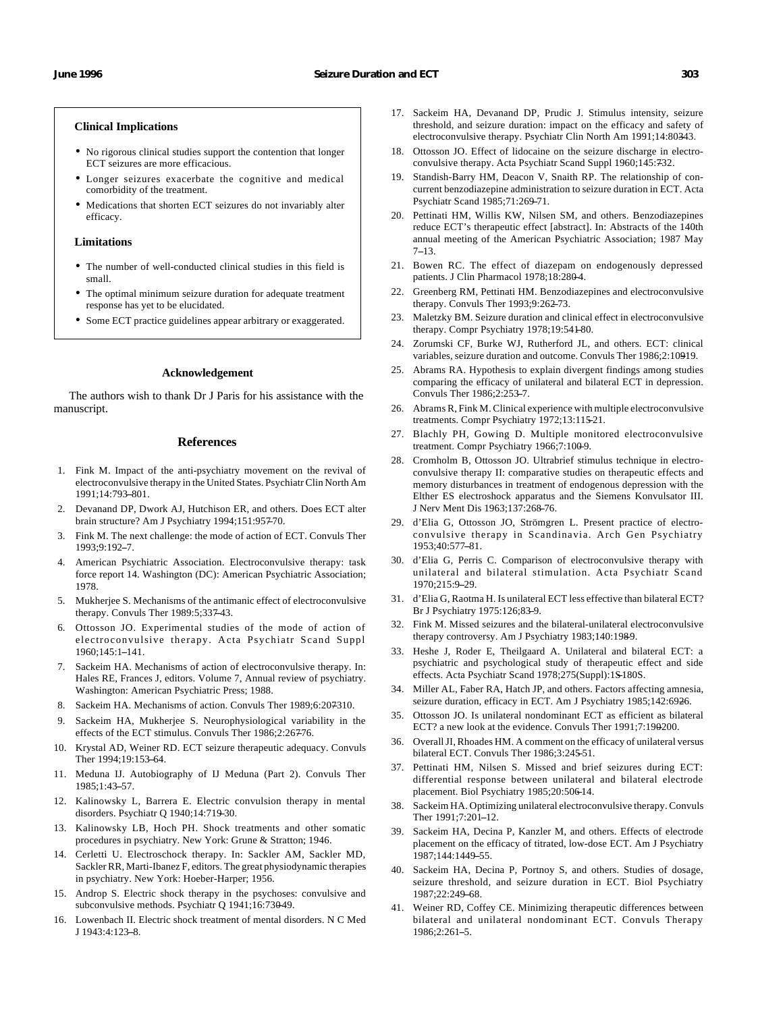#### **Clinical Implications**

- No rigorous clinical studies support the contention that longer ECT seizures are more efficacious.
- Longer seizures exacerbate the cognitive and medical comorbidity of the treatment.
- Medications that shorten ECT seizures do not invariably alter efficacy.

#### **Limitations**

- The number of well-conducted clinical studies in this field is small.
- The optimal minimum seizure duration for adequate treatment response has yet to be elucidated.
- Some ECT practice guidelines appear arbitrary or exaggerated.

#### **Acknowledgement**

The authors wish to thank Dr J Paris for his assistance with the manuscript.

#### **References**

- 1. Fink M. Impact of the anti-psychiatry movement on the revival of electroconvulsive therapy in the United States. Psychiatr Clin North Am 1991;14:793-801.
- 2. Devanand DP, Dwork AJ, Hutchison ER, and others. Does ECT alter brain structure? Am J Psychiatry 1994;151:957-70.
- 3. Fink M. The next challenge: the mode of action of ECT. Convuls Ther 1993;9:192--7.
- 4. American Psychiatric Association. Electroconvulsive therapy: task force report 14. Washington (DC): American Psychiatric Association; 1978.
- 5. Mukherjee S. Mechanisms of the antimanic effect of electroconvulsive therapy. Convuls Ther 1989:5;337-43.
- 6. Ottosson JO. Experimental studies of the mode of action of electroconvulsive therapy. Acta Psychiatr Scand Suppl  $1960:145:1-141$ .
- 7. Sackeim HA. Mechanisms of action of electroconvulsive therapy. In: Hales RE, Frances J, editors. Volume 7, Annual review of psychiatry. Washington: American Psychiatric Press; 1988.
- 8. Sackeim HA. Mechanisms of action. Convuls Ther 1989;6:207310.
- Sackeim HA, Mukherjee S. Neurophysiological variability in the effects of the ECT stimulus. Convuls Ther 1986;2:267-76.
- 10. Krystal AD, Weiner RD. ECT seizure therapeutic adequacy. Convuls Ther 1994:19:153-64.
- 11. Meduna IJ. Autobiography of IJ Meduna (Part 2). Convuls Ther 1985;1:43-57.
- 12. Kalinowsky L, Barrera E. Electric convulsion therapy in mental disorders. Psychiatr Q 1940;14:719-30.
- 13. Kalinowsky LB, Hoch PH. Shock treatments and other somatic procedures in psychiatry. New York: Grune & Stratton; 1946.
- 14. Cerletti U. Electroschock therapy. In: Sackler AM, Sackler MD, Sackler RR, Marti-Ibanez F, editors. The great physiodynamic therapies in psychiatry. New York: Hoeber-Harper; 1956.
- 15. Androp S. Electric shock therapy in the psychoses: convulsive and subconvulsive methods. Psychiatr Q 1941;16:73049.
- 16. Lowenbach II. Electric shock treatment of mental disorders. N C Med J 1943:4:123-8.
- 17. Sackeim HA, Devanand DP, Prudic J. Stimulus intensity, seizure threshold, and seizure duration: impact on the efficacy and safety of electroconvulsive therapy. Psychiatr Clin North Am 1991;14:80343.
- 18. Ottosson JO. Effect of lidocaine on the seizure discharge in electroconvulsive therapy. Acta Psychiatr Scand Suppl 1960;145:732.
- 19. Standish-Barry HM, Deacon V, Snaith RP. The relationship of concurrent benzodiazepine administration to seizure duration in ECT. Acta Psychiatr Scand 1985;71:269-71.
- 20. Pettinati HM, Willis KW, Nilsen SM, and others. Benzodiazepines reduce ECT's therapeutic effect [abstract]. In: Abstracts of the 140th annual meeting of the American Psychiatric Association; 1987 May  $7 - 13$ .
- 21. Bowen RC. The effect of diazepam on endogenously depressed patients. J Clin Pharmacol 1978;18:280-4.
- 22. Greenberg RM, Pettinati HM. Benzodiazepines and electroconvulsive therapy. Convuls Ther 1993;9:262-73.
- 23. Maletzky BM. Seizure duration and clinical effect in electroconvulsive therapy. Compr Psychiatry 1978;19:541-80.
- 24. Zorumski CF, Burke WJ, Rutherford JL, and others. ECT: clinical variables, seizure duration and outcome. Convuls Ther 1986;2:10919.
- 25. Abrams RA. Hypothesis to explain divergent findings among studies comparing the efficacy of unilateral and bilateral ECT in depression. Convuls Ther 1986;2:253-7.
- Abrams R, Fink M. Clinical experience with multiple electroconvulsive treatments. Compr Psychiatry 1972;13:115-21.
- 27. Blachly PH, Gowing D. Multiple monitored electroconvulsive treatment. Compr Psychiatry 1966;7:100-9.
- 28. Cromholm B, Ottosson JO. Ultrabrief stimulus technique in electroconvulsive therapy II: comparative studies on therapeutic effects and memory disturbances in treatment of endogenous depression with the Elther ES electroshock apparatus and the Siemens Konvulsator III. J Nerv Ment Dis 1963;137:268-76.
- 29. d'Elia G, Ottosson JO, Strömgren L. Present practice of electroconvulsive therapy in Scandinavia. Arch Gen Psychiatry 1953;40:577--81.
- 30. d'Elia G, Perris C. Comparison of electroconvulsive therapy with unilateral and bilateral stimulation. Acta Psychiatr Scand 1970;215:9--29.
- 31. d'Elia G, Raotma H. Is unilateral ECT less effective than bilateral ECT? Br J Psychiatry 1975:126;83-9.
- 32. Fink M. Missed seizures and the bilateral-unilateral electroconvulsive therapy controversy. Am J Psychiatry 1983;140:1989.
- 33. Heshe J, Roder E, Theilgaard A. Unilateral and bilateral ECT: a psychiatric and psychological study of therapeutic effect and side effects. Acta Psychiatr Scand 1978;275(Suppl):1S-180S.
- 34. Miller AL, Faber RA, Hatch JP, and others. Factors affecting amnesia, seizure duration, efficacy in ECT. Am J Psychiatry 1985;142:6926.
- 35. Ottosson JO. Is unilateral nondominant ECT as efficient as bilateral ECT? a new look at the evidence. Convuls Ther 1991;7:190-200.
- 36. Overall JI, Rhoades HM. A comment on the efficacy of unilateral versus bilateral ECT. Convuls Ther 1986;3:245-51.
- 37. Pettinati HM, Nilsen S. Missed and brief seizures during ECT: differential response between unilateral and bilateral electrode placement. Biol Psychiatry 1985;20:506-14.
- 38. Sackeim HA. Optimizing unilateral electroconvulsive therapy. Convuls Ther 1991;7:201-12.
- 39. Sackeim HA, Decina P, Kanzler M, and others. Effects of electrode placement on the efficacy of titrated, low-dose ECT. Am J Psychiatry 1987;144:1449-55.
- 40. Sackeim HA, Decina P, Portnoy S, and others. Studies of dosage, seizure threshold, and seizure duration in ECT. Biol Psychiatry 1987:22:249-68.
- 41. Weiner RD, Coffey CE. Minimizing therapeutic differences between bilateral and unilateral nondominant ECT. Convuls Therapy  $1986:2:261-5$ .